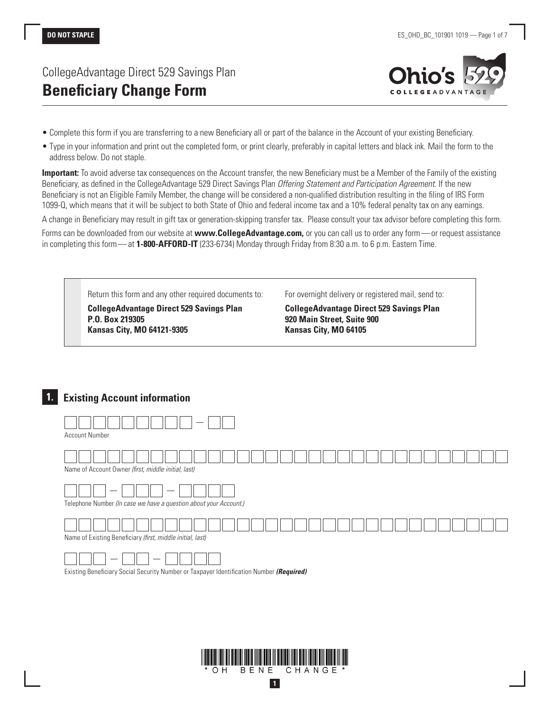# CollegeAdvantage Direct 529 Savings Plan **Beneficiary Change Form**



- Complete this form if you are transferring to a new Beneficiary all or part of the balance in the Account of your existing Beneficiary.
- Type in your information and print out the completed form, or print clearly, preferably in capital letters and black ink. Mail the form to the address below. Do not staple.

**Important:** To avoid adverse tax consequences on the Account transfer, the new Beneficiary must be a Member of the Family of the existing Beneficiary, as defined in the CollegeAdvantage 529 Direct Savings Plan *Offering Statement and Participation Agreement*. If the new Beneficiary is not an Eligible Family Member, the change will be considered a non-qualified distribution resulting in the filing of IRS Form 1099-Q, which means that it will be subject to both State of Ohio and federal income tax and a 10% federal penalty tax on any earnings.

A change in Beneficiary may result in gift tax or generation-skipping transfer tax. Please consult your tax advisor before completing this form.

Forms can be downloaded from our website at **www.CollegeAdvantage.com,** or you can call us to order any form—or request assistance in completing this form—at **1-800-AFFORD-IT** (233-6734) Monday through Friday from 8:30 a.m. to 6 p.m. Eastern Time.



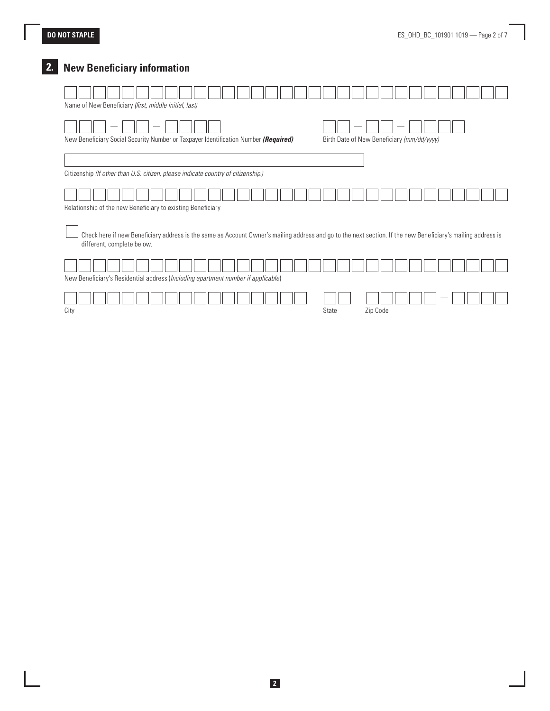# **2. New Beneficiary information**

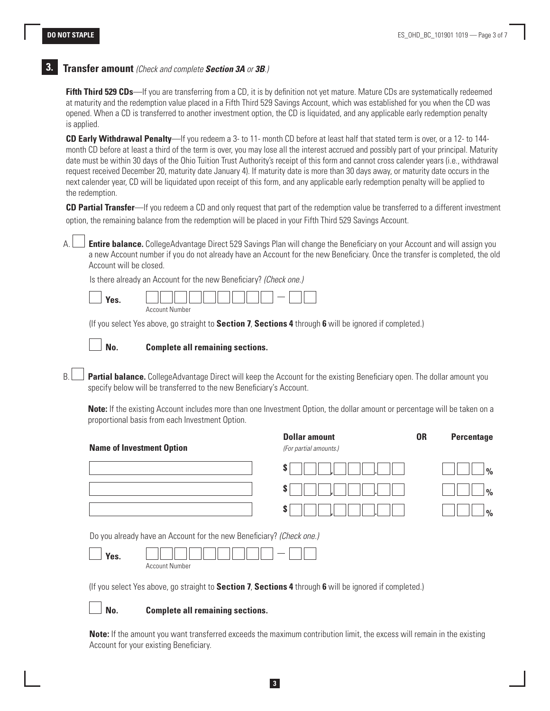## **3. Transfer amount** *(Check and complete Section 3A or 3B.)*

**Fifth Third 529 CDs—**If you are transferring from a CD, it is by definition not yet mature. Mature CDs are systematically redeemed at maturity and the redemption value placed in a Fifth Third 529 Savings Account, which was established for you when the CD was opened. When a CD is transferred to another investment option, the CD is liquidated, and any applicable early redemption penalty is applied.

**CD Early Withdrawal Penalty**—If you redeem a 3- to 11- month CD before at least half that stated term is over, or a 12- to 144 month CD before at least a third of the term is over, you may lose all the interest accrued and possibly part of your principal. Maturity date must be within 30 days of the Ohio Tuition Trust Authority's receipt of this form and cannot cross calender years (i.e., withdrawal request received December 20, maturity date January 4). If maturity date is more than 30 days away, or maturity date occurs in the next calender year, CD will be liquidated upon receipt of this form, and any applicable early redemption penalty will be applied to the redemption.

**CD Partial Transfer**—If you redeem a CD and only request that part of the redemption value be transferred to a different investment option, the remaining balance from the redemption will be placed in your Fifth Third 529 Savings Account.

A. **Entire balance.** CollegeAdvantage Direct 529 Savings Plan will change the Beneficiary on your Account and will assign you a new Account number if you do not already have an Account for the new Beneficiary. Once the transfer is completed, the old Account will be closed.

Is there already an Account for the new Beneficiary? *(Check one.)*

| $\mathbf{v}$ | $-$               |
|--------------|-------------------|
| ρQ           | __                |
|              | Number<br>Account |

(If you select Yes above, go straight to **Section 7**, **Sections 4** through **6** will be ignored if completed.)

#### **No. Complete all remaining sections.**

B. **Partial balance.** CollegeAdvantage Direct will keep the Account for the existing Beneficiary open. The dollar amount you specify below will be transferred to the new Beneficiary's Account.

**Note:** If the existing Account includes more than one Investment Option, the dollar amount or percentage will be taken on a proportional basis from each Investment Option.

| <b>Name of Investment Option</b>                                     | <b>Dollar amount</b><br>(For partial amounts.) | <b>OR</b> | <b>Percentage</b> |
|----------------------------------------------------------------------|------------------------------------------------|-----------|-------------------|
| S                                                                    |                                                |           | $\frac{0}{0}$     |
| S                                                                    |                                                |           | $\frac{0}{0}$     |
| S                                                                    |                                                |           | $\frac{0}{0}$     |
| Do you already have an Account for the new Beneficiary? (Check one.) |                                                |           |                   |
| Yes.                                                                 |                                                |           |                   |

Account Number

(If you select Yes above, go straight to **Section 7**, **Sections 4** through **6** will be ignored if completed.)

#### **No. Complete all remaining sections.**

 **Note:** If the amount you want transferred exceeds the maximum contribution limit, the excess will remain in the existing Account for your existing Beneficiary.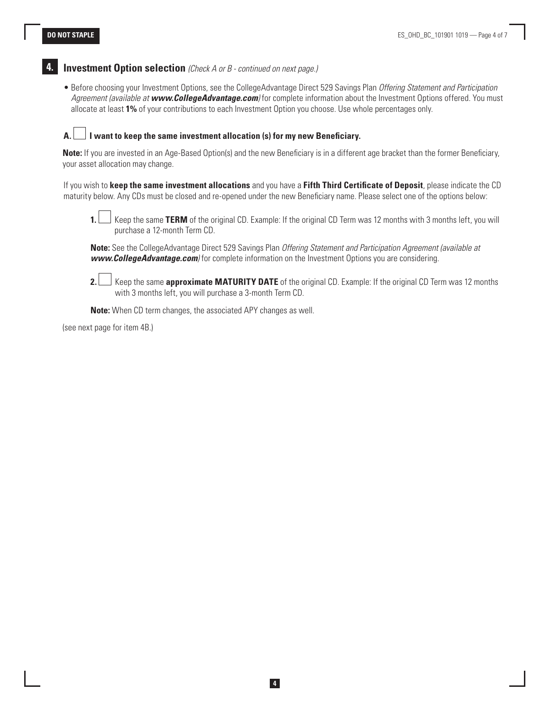

• Before choosing your Investment Options, see the CollegeAdvantage Direct 529 Savings Plan *Offering Statement and Participation Agreement (available at www.CollegeAdvantage.com)* for complete information about the Investment Options offered. You must allocate at least **1%** of your contributions to each Investment Option you choose. Use whole percentages only.

### **A. I want to keep the same investment allocation (s) for my new Beneficiary.**

**Note:** If you are invested in an Age-Based Option(s) and the new Beneficiary is in a different age bracket than the former Beneficiary, your asset allocation may change.

If you wish to **keep the same investment allocations** and you have a **Fifth Third Certificate of Deposit**, please indicate the CD maturity below. Any CDs must be closed and re-opened under the new Beneficiary name. Please select one of the options below:



**1.** Keep the same **TERM** of the original CD. Example: If the original CD Term was 12 months with 3 months left, you will purchase a 12-month Term CD.

**Note:** See the CollegeAdvantage Direct 529 Savings Plan *Offering Statement and Participation Agreement (available at www.CollegeAdvantage.com)* for complete information on the Investment Options you are considering.



**2.** Keep the same **approximate MATURITY DATE** of the original CD. Example: If the original CD Term was 12 months with 3 months left, you will purchase a 3-month Term CD.

**Note:** When CD term changes, the associated APY changes as well.

(see next page for item 4B.)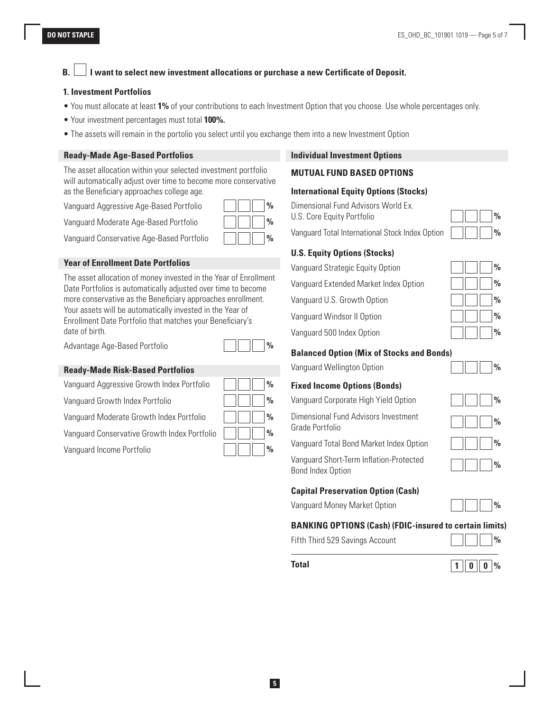## **B. I want to select new investment allocations or purchase a new Certificate of Deposit.**

#### **1. Investment Portfolios**

- You must allocate at least **1%** of your contributions to each Investment Option that you choose. Use whole percentages only.
- Your investment percentages must total **100%.**
- The assets will remain in the portolio you select until you exchange them into a new Investment Option

#### **Ready-Made Age-Based Portfolios**

The asset allocation within your selected investment portfolio will automatically adjust over time to become more conservative as the Beneficiary approaches college age.

Vanguard Aggressive Age-Based Portfolio **%**

Vanguard Moderate Age-Based Portfolio **%**

Vanguard Conservative Age-Based Portfolio **%**

#### **Year of Enrollment Date Portfolios**

The asset allocation of money invested in the Year of Enrollment Date Portfolios is automatically adjusted over time to become more conservative as the Beneficiary approaches enrollment. Your assets will be automatically invested in the Year of Enrollment Date Portfolio that matches your Beneficiary's date of birth.

Advantage Age-Based Portfolio **%**

#### **Ready-Made Risk-Based Portfolios**

Vanguard Aggressive Growth Index Portfolio **%**

Vanguard Growth Index Portfolio **%**

Vanguard Moderate Growth Index Portfolio **%**

Vanguard Conservative Growth Index Portfolio **%**

Vanguard Income Portfolio **%**

| $\frac{0}{0}$ |
|---------------|
| $\frac{0}{0}$ |
| $\frac{0}{0}$ |
| $\frac{0}{0}$ |
| $\frac{0}{0}$ |

#### **Individual Investment Options**

#### **MUTUAL FUND BASED OPTIONS**

### **International Equity Options (Stocks)**

Dimensional Fund Advisors World Ex. U.S. Core Equity Portfolio **800 Marshall** 

Vanguard Total International Stock Index Option **%**

### **U.S. Equity Options (Stocks)**

Vanguard Strategic Equity Option **%** Vanguard Extended Market Index Option **%** Vanguard U.S. Growth Option **%** Vanguard Windsor II Option **%** Vanguard 500 Index Option **%**

### **Balanced Option (Mix of Stocks and Bonds)**

Vanguard Wellington Option **%**

#### **Fixed Income Options (Bonds)**

Vanguard Corporate High Yield Option **%**

Dimensional Fund Advisors Investment Grade Portfolio **%**

Vanguard Total Bond Market Index Option **%**

Vanguard Short-Term Inflation-Protected **Bond Index Option** 

#### **Capital Preservation Option (Cash)**

Vanguard Money Market Option **%**

#### **BANKING OPTIONS (Cash) (FDIC-insured to certain limits)**

Fifth Third 529 Savings Account **%**

|--|--|

**Total 1 0 0 %**

| C             |  |  |
|---------------|--|--|
| $\frac{0}{6}$ |  |  |
|               |  |  |

|  | $\frac{0}{0}$ |
|--|---------------|
|  | $\frac{0}{0}$ |
|  | $\frac{0}{0}$ |
|  | $\frac{0}{0}$ |
|  | $\frac{0}{0}$ |

|  | $\%$ |
|--|------|
|  | 0/2  |

| $\frac{0}{0}$ |  |
|---------------|--|
| $\frac{0}{0}$ |  |
| $\frac{0}{0}$ |  |
| $\frac{0}{0}$ |  |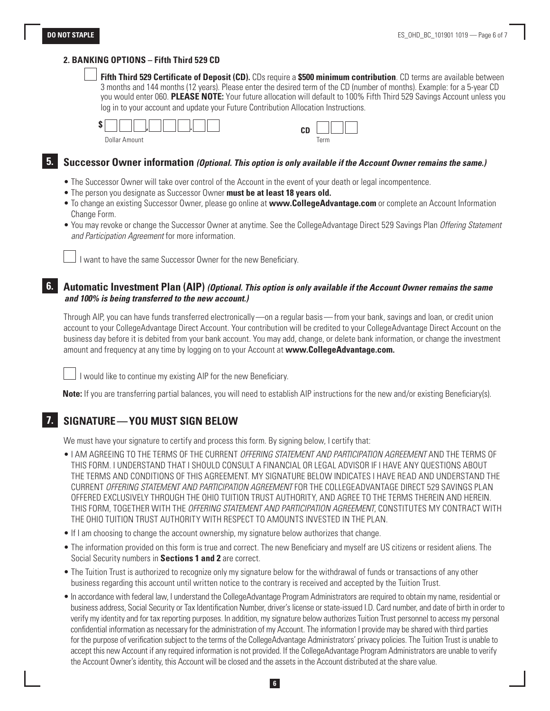#### **2. BANKING OPTIONS – Fifth Third 529 CD**

 **Fifth Third 529 Certificate of Deposit (CD).** CDs require a **\$500 minimum contribution**. CD terms are available between 3 months and 144 months (12 years). Please enter the desired term of the CD (number of months). Example: for a 5-year CD you would enter 060. **PLEASE NOTE:** Your future allocation will default to 100% Fifth Third 529 Savings Account unless you log in to your account and update your Future Contribution Allocation Instructions.

| \$<br>ъ. |             |
|----------|-------------|
| Dollar.  | $\sim$ when |
| mount    | rerm        |

# **5. Successor Owner information** *(Optional. This option is only available if the Account Owner remains the same.)*

- The Successor Owner will take over control of the Account in the event of your death or legal incompentence.
- The person you designate as Successor Owner **must be at least 18 years old.**
- To change an existing Successor Owner, please go online at **www.CollegeAdvantage.com** or complete an Account Information Change Form.
- You may revoke or change the Successor Owner at anytime. See the CollegeAdvantage Direct 529 Savings Plan *Offering Statement and Participation Agreement* for more information.

I want to have the same Successor Owner for the new Beneficiary.

### **6. Automatic Investment Plan (AIP)** *(Optional. This option is only available if the Account Owner remains the same and 100% is being transferred to the new account.)*

Through AIP, you can have funds transferred electronically—on a regular basis—from your bank, savings and loan, or credit union account to your CollegeAdvantage Direct Account. Your contribution will be credited to your CollegeAdvantage Direct Account on the business day before it is debited from your bank account. You may add, change, or delete bank information, or change the investment amount and frequency at any time by logging on to your Account at **www.CollegeAdvantage.com.**

I would like to continue my existing AIP for the new Beneficiary.

**Note:** If you are transferring partial balances, you will need to establish AIP instructions for the new and/or existing Beneficiary(s).

## **7. SIGNATURE—YOU MUST SIGN BELOW**

We must have your signature to certify and process this form. By signing below, I certify that:

- I AM AGREEING TO THE TERMS OF THE CURRENT *OFFERING STATEMENT AND PARTICIPATION AGREEMENT* AND THE TERMS OF THIS FORM. I UNDERSTAND THAT I SHOULD CONSULT A FINANCIAL OR LEGAL ADVISOR IF I HAVE ANY QUESTIONS ABOUT THE TERMS AND CONDITIONS OF THIS AGREEMENT. MY SIGNATURE BELOW INDICATES I HAVE READ AND UNDERSTAND THE CURRENT *OFFERING STATEMENT AND PARTICIPATION AGREEMENT* FOR THE COLLEGEADVANTAGE DIRECT 529 SAVINGS PLAN OFFERED EXCLUSIVELY THROUGH THE OHIO TUITION TRUST AUTHORITY, AND AGREE TO THE TERMS THEREIN AND HEREIN. THIS FORM, TOGETHER WITH THE *OFFERING STATEMENT AND PARTICIPATION AGREEMENT*, CONSTITUTES MY CONTRACT WITH THE OHIO TUITION TRUST AUTHORITY WITH RESPECT TO AMOUNTS INVESTED IN THE PLAN.
- If I am choosing to change the account ownership, my signature below authorizes that change.
- The information provided on this form is true and correct. The new Beneficiary and myself are US citizens or resident aliens. The Social Security numbers in **Sections 1 and 2** are correct.
- The Tuition Trust is authorized to recognize only my signature below for the withdrawal of funds or transactions of any other business regarding this account until written notice to the contrary is received and accepted by the Tuition Trust.
- In accordance with federal law, I understand the CollegeAdvantage Program Administrators are required to obtain my name, residential or business address, Social Security or Tax Identification Number, driver's license or state-issued I.D. Card number, and date of birth in order to verify my identity and for tax reporting purposes. In addition, my signature below authorizes Tuition Trust personnel to access my personal confidential information as necessary for the administration of my Account. The information I provide may be shared with third parties for the purpose of verification subject to the terms of the CollegeAdvantage Administrators' privacy policies. The Tuition Trust is unable to accept this new Account if any required information is not provided. If the CollegeAdvantage Program Administrators are unable to verify the Account Owner's identity, this Account will be closed and the assets in the Account distributed at the share value.